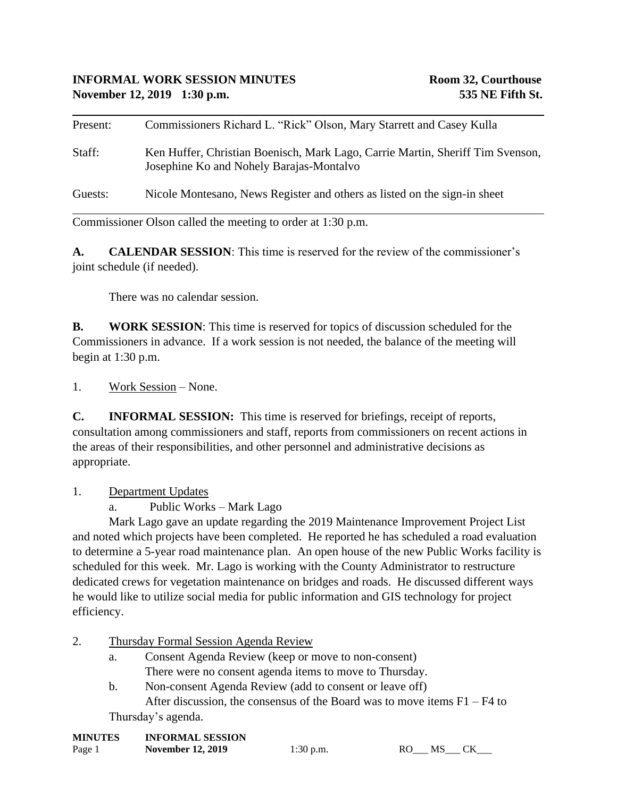| Present: | Commissioners Richard L. "Rick" Olson, Mary Starrett and Casey Kulla                                                       |
|----------|----------------------------------------------------------------------------------------------------------------------------|
| Staff:   | Ken Huffer, Christian Boenisch, Mark Lago, Carrie Martin, Sheriff Tim Svenson,<br>Josephine Ko and Nohely Barajas-Montalvo |
| Guests:  | Nicole Montesano, News Register and others as listed on the sign-in sheet                                                  |

Commissioner Olson called the meeting to order at 1:30 p.m.

**A. CALENDAR SESSION**: This time is reserved for the review of the commissioner's joint schedule (if needed).

There was no calendar session.

**B. WORK SESSION**: This time is reserved for topics of discussion scheduled for the Commissioners in advance. If a work session is not needed, the balance of the meeting will begin at 1:30 p.m.

1. Work Session – None.

**C. INFORMAL SESSION:** This time is reserved for briefings, receipt of reports, consultation among commissioners and staff, reports from commissioners on recent actions in the areas of their responsibilities, and other personnel and administrative decisions as appropriate.

1. Department Updates

a. Public Works – Mark Lago

Mark Lago gave an update regarding the 2019 Maintenance Improvement Project List and noted which projects have been completed. He reported he has scheduled a road evaluation to determine a 5-year road maintenance plan. An open house of the new Public Works facility is scheduled for this week. Mr. Lago is working with the County Administrator to restructure dedicated crews for vegetation maintenance on bridges and roads. He discussed different ways he would like to utilize social media for public information and GIS technology for project efficiency.

- 2. Thursday Formal Session Agenda Review
	- a. Consent Agenda Review (keep or move to non-consent) There were no consent agenda items to move to Thursday.
	- b. Non-consent Agenda Review (add to consent or leave off) After discussion, the consensus of the Board was to move items F1 – F4 to

Thursday's agenda.

| <b>MINUTES</b> | <b>INFORMAL SESSION</b>  |
|----------------|--------------------------|
| Page 1         | <b>November 12, 2019</b> |